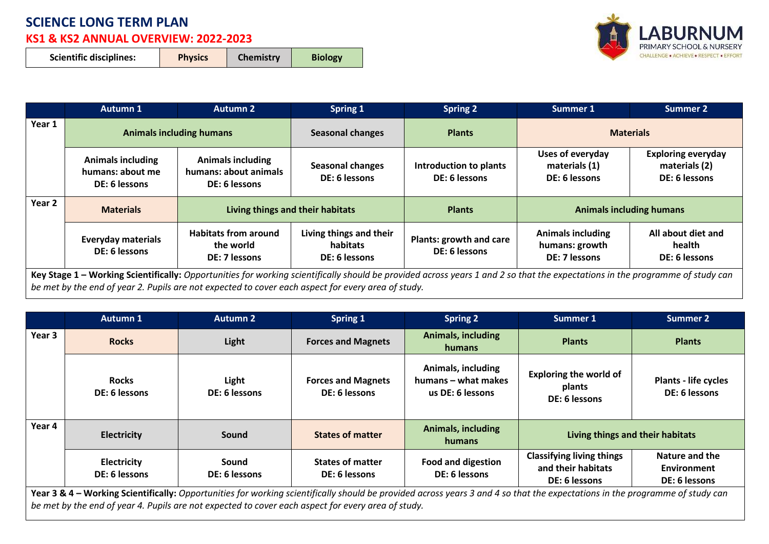## **SCIENCE LONG TERM PLAN**

## **KS1 & KS2 ANNUAL OVERVIEW: 2022-2023**

| <b>Scientific disciplines:</b><br><b>Chemistry</b><br><b>Physics</b><br><b>Biology</b> |  |  |  |  |
|----------------------------------------------------------------------------------------|--|--|--|--|
|----------------------------------------------------------------------------------------|--|--|--|--|



|        | <b>Autumn 1</b>                                               | <b>Autumn 2</b>                                                    | <b>Spring 1</b>                                      | <b>Spring 2</b>                          | Summer 1                                                    | Summer 2                                                    |
|--------|---------------------------------------------------------------|--------------------------------------------------------------------|------------------------------------------------------|------------------------------------------|-------------------------------------------------------------|-------------------------------------------------------------|
| Year 1 | <b>Animals including humans</b>                               |                                                                    | <b>Seasonal changes</b>                              | <b>Plants</b>                            | <b>Materials</b>                                            |                                                             |
|        | <b>Animals including</b><br>humans: about me<br>DE: 6 lessons | <b>Animals including</b><br>humans: about animals<br>DE: 6 lessons | <b>Seasonal changes</b><br>DE: 6 lessons             | Introduction to plants<br>DE: 6 lessons  | Uses of everyday<br>materials (1)<br>DE: 6 lessons          | <b>Exploring everyday</b><br>materials (2)<br>DE: 6 lessons |
| Year 2 |                                                               |                                                                    | Living things and their habitats                     |                                          | <b>Animals including humans</b>                             |                                                             |
|        | <b>Materials</b>                                              |                                                                    |                                                      | <b>Plants</b>                            |                                                             |                                                             |
|        | <b>Everyday materials</b><br>DE: 6 lessons                    | <b>Habitats from around</b><br>the world<br>DE: 7 lessons          | Living things and their<br>habitats<br>DE: 6 lessons | Plants: growth and care<br>DE: 6 lessons | <b>Animals including</b><br>humans: growth<br>DE: 7 lessons | All about diet and<br>health<br>DE: 6 lessons               |

|                                                                                                                                                                                                                                                                                    | <b>Autumn 1</b>                     | <b>Autumn 2</b>        | <b>Spring 1</b>                            | <b>Spring 2</b>                                               | Summer 1                                                                | <b>Summer 2</b>                                       |  |
|------------------------------------------------------------------------------------------------------------------------------------------------------------------------------------------------------------------------------------------------------------------------------------|-------------------------------------|------------------------|--------------------------------------------|---------------------------------------------------------------|-------------------------------------------------------------------------|-------------------------------------------------------|--|
| Year 3                                                                                                                                                                                                                                                                             | <b>Rocks</b>                        | Light                  | <b>Forces and Magnets</b>                  | <b>Animals, including</b><br><b>humans</b>                    | <b>Plants</b>                                                           | <b>Plants</b>                                         |  |
|                                                                                                                                                                                                                                                                                    | <b>Rocks</b><br>DE: 6 lessons       | Light<br>DE: 6 lessons | <b>Forces and Magnets</b><br>DE: 6 lessons | Animals, including<br>humans – what makes<br>us DE: 6 lessons | <b>Exploring the world of</b><br>plants<br>DE: 6 lessons                | Plants - life cycles<br>DE: 6 lessons                 |  |
| Year 4                                                                                                                                                                                                                                                                             | <b>Electricity</b>                  | <b>Sound</b>           | <b>States of matter</b>                    | <b>Animals, including</b><br>humans                           | Living things and their habitats                                        |                                                       |  |
|                                                                                                                                                                                                                                                                                    | <b>Electricity</b><br>DE: 6 lessons | Sound<br>DE: 6 lessons | <b>States of matter</b><br>DE: 6 lessons   | <b>Food and digestion</b><br>DE: 6 lessons                    | <b>Classifying living things</b><br>and their habitats<br>DE: 6 lessons | Nature and the<br><b>Environment</b><br>DE: 6 lessons |  |
| Year 3 & 4 – Working Scientifically: Opportunities for working scientifically should be provided across years 3 and 4 so that the expectations in the programme of study can<br>be met by the end of year 4. Pupils are not expected to cover each aspect for every area of study. |                                     |                        |                                            |                                                               |                                                                         |                                                       |  |